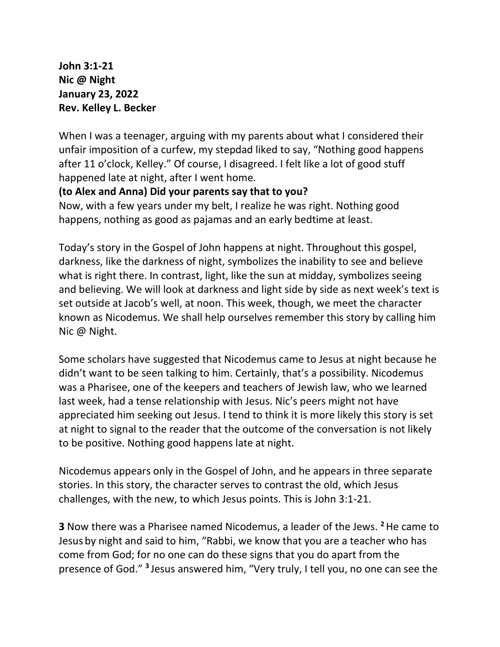**John 3:1-21 Nic @ Night January 23, 2022 Rev. Kelley L. Becker**

When I was a teenager, arguing with my parents about what I considered their unfair imposition of a curfew, my stepdad liked to say, "Nothing good happens after 11 o'clock, Kelley." Of course, I disagreed. I felt like a lot of good stuff happened late at night, after I went home.

## **(to Alex and Anna) Did your parents say that to you?**

Now, with a few years under my belt, I realize he was right. Nothing good happens, nothing as good as pajamas and an early bedtime at least.

Today's story in the Gospel of John happens at night. Throughout this gospel, darkness, like the darkness of night, symbolizes the inability to see and believe what is right there. In contrast, light, like the sun at midday, symbolizes seeing and believing. We will look at darkness and light side by side as next week's text is set outside at Jacob's well, at noon. This week, though, we meet the character known as Nicodemus. We shall help ourselves remember this story by calling him Nic @ Night.

Some scholars have suggested that Nicodemus came to Jesus at night because he didn't want to be seen talking to him. Certainly, that's a possibility. Nicodemus was a Pharisee, one of the keepers and teachers of Jewish law, who we learned last week, had a tense relationship with Jesus. Nic's peers might not have appreciated him seeking out Jesus. I tend to think it is more likely this story is set at night to signal to the reader that the outcome of the conversation is not likely to be positive. Nothing good happens late at night.

Nicodemus appears only in the Gospel of John, and he appears in three separate stories. In this story, the character serves to contrast the old, which Jesus challenges, with the new, to which Jesus points. This is John 3:1-21.

**3** Now there was a Pharisee named Nicodemus, a leader of the Jews. **<sup>2</sup>**He came to Jesus by night and said to him, "Rabbi, we know that you are a teacher who has come from God; for no one can do these signs that you do apart from the presence of God."<sup>3</sup> Jesus answered him, "Very truly, I tell you, no one can see the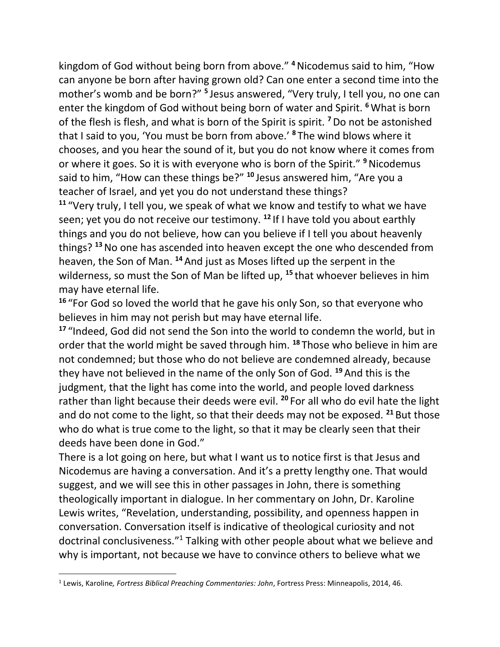kingdom of God without being born from above." **<sup>4</sup>**Nicodemus said to him, "How can anyone be born after having grown old? Can one enter a second time into the mother's womb and be born?" **<sup>5</sup>** Jesus answered, "Very truly, I tell you, no one can enter the kingdom of God without being born of water and Spirit. **<sup>6</sup>**What is born of the flesh is flesh, and what is born of the Spirit is spirit. **<sup>7</sup>**Do not be astonished that I said to you, 'You must be born from above.' **<sup>8</sup>** The wind blows where it chooses, and you hear the sound of it, but you do not know where it comes from or where it goes. So it is with everyone who is born of the Spirit." **<sup>9</sup>**Nicodemus said to him, "How can these things be?" **<sup>10</sup>** Jesus answered him, "Are you a teacher of Israel, and yet you do not understand these things?

**<sup>11</sup>** "Very truly, I tell you, we speak of what we know and testify to what we have seen; yet you do not receive our testimony. **<sup>12</sup>** If I have told you about earthly things and you do not believe, how can you believe if I tell you about heavenly things? **<sup>13</sup>**No one has ascended into heaven except the one who descended from heaven, the Son of Man. **<sup>14</sup>** And just as Moses lifted up the serpent in the wilderness, so must the Son of Man be lifted up, **<sup>15</sup>** that whoever believes in him may have eternal life.

**<sup>16</sup>** "For God so loved the world that he gave his only Son, so that everyone who believes in him may not perish but may have eternal life.

**<sup>17</sup>** "Indeed, God did not send the Son into the world to condemn the world, but in order that the world might be saved through him. **<sup>18</sup>** Those who believe in him are not condemned; but those who do not believe are condemned already, because they have not believed in the name of the only Son of God. **<sup>19</sup>** And this is the judgment, that the light has come into the world, and people loved darkness rather than light because their deeds were evil. **<sup>20</sup>** For all who do evil hate the light and do not come to the light, so that their deeds may not be exposed. **<sup>21</sup>** But those who do what is true come to the light, so that it may be clearly seen that their deeds have been done in God."

There is a lot going on here, but what I want us to notice first is that Jesus and Nicodemus are having a conversation. And it's a pretty lengthy one. That would suggest, and we will see this in other passages in John, there is something theologically important in dialogue. In her commentary on John, Dr. Karoline Lewis writes, "Revelation, understanding, possibility, and openness happen in conversation. Conversation itself is indicative of theological curiosity and not doctrinal conclusiveness."<sup>1</sup> Talking with other people about what we believe and why is important, not because we have to convince others to believe what we

<sup>1</sup> Lewis, Karoline*, Fortress Biblical Preaching Commentaries: John*, Fortress Press: Minneapolis, 2014, 46.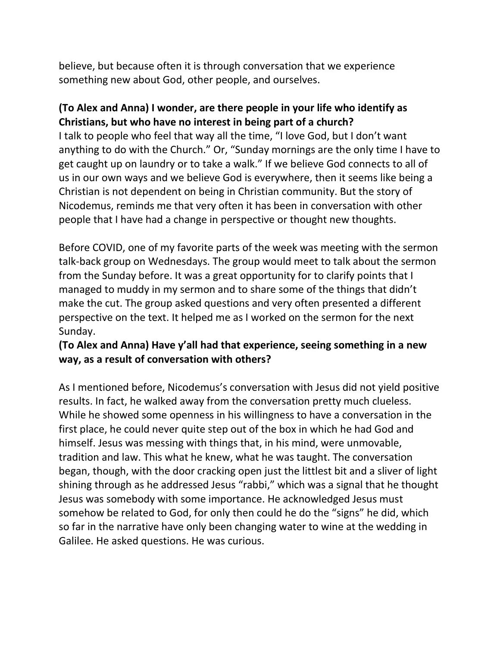believe, but because often it is through conversation that we experience something new about God, other people, and ourselves.

## **(To Alex and Anna) I wonder, are there people in your life who identify as Christians, but who have no interest in being part of a church?**

I talk to people who feel that way all the time, "I love God, but I don't want anything to do with the Church." Or, "Sunday mornings are the only time I have to get caught up on laundry or to take a walk." If we believe God connects to all of us in our own ways and we believe God is everywhere, then it seems like being a Christian is not dependent on being in Christian community. But the story of Nicodemus, reminds me that very often it has been in conversation with other people that I have had a change in perspective or thought new thoughts.

Before COVID, one of my favorite parts of the week was meeting with the sermon talk-back group on Wednesdays. The group would meet to talk about the sermon from the Sunday before. It was a great opportunity for to clarify points that I managed to muddy in my sermon and to share some of the things that didn't make the cut. The group asked questions and very often presented a different perspective on the text. It helped me as I worked on the sermon for the next Sunday.

## **(To Alex and Anna) Have y'all had that experience, seeing something in a new way, as a result of conversation with others?**

As I mentioned before, Nicodemus's conversation with Jesus did not yield positive results. In fact, he walked away from the conversation pretty much clueless. While he showed some openness in his willingness to have a conversation in the first place, he could never quite step out of the box in which he had God and himself. Jesus was messing with things that, in his mind, were unmovable, tradition and law. This what he knew, what he was taught. The conversation began, though, with the door cracking open just the littlest bit and a sliver of light shining through as he addressed Jesus "rabbi," which was a signal that he thought Jesus was somebody with some importance. He acknowledged Jesus must somehow be related to God, for only then could he do the "signs" he did, which so far in the narrative have only been changing water to wine at the wedding in Galilee. He asked questions. He was curious.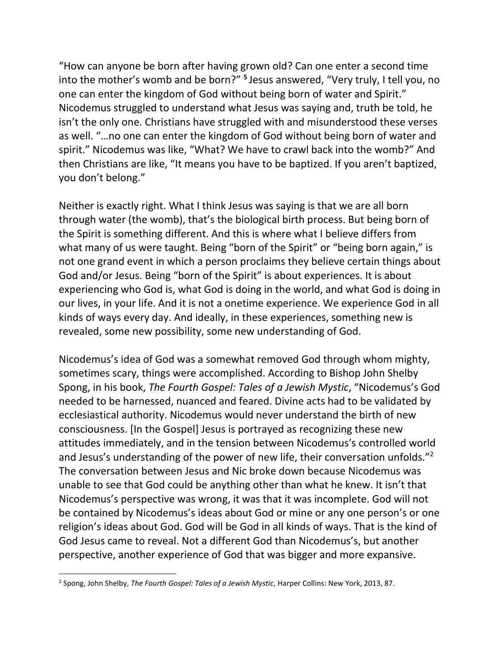"How can anyone be born after having grown old? Can one enter a second time into the mother's womb and be born?" **<sup>5</sup>** Jesus answered, "Very truly, I tell you, no one can enter the kingdom of God without being born of water and Spirit." Nicodemus struggled to understand what Jesus was saying and, truth be told, he isn't the only one. Christians have struggled with and misunderstood these verses as well. "…no one can enter the kingdom of God without being born of water and spirit." Nicodemus was like, "What? We have to crawl back into the womb?" And then Christians are like, "It means you have to be baptized. If you aren't baptized, you don't belong."

Neither is exactly right. What I think Jesus was saying is that we are all born through water (the womb), that's the biological birth process. But being born of the Spirit is something different. And this is where what I believe differs from what many of us were taught. Being "born of the Spirit" or "being born again," is not one grand event in which a person proclaims they believe certain things about God and/or Jesus. Being "born of the Spirit" is about experiences. It is about experiencing who God is, what God is doing in the world, and what God is doing in our lives, in your life. And it is not a onetime experience. We experience God in all kinds of ways every day. And ideally, in these experiences, something new is revealed, some new possibility, some new understanding of God.

Nicodemus's idea of God was a somewhat removed God through whom mighty, sometimes scary, things were accomplished. According to Bishop John Shelby Spong, in his book, *The Fourth Gospel: Tales of a Jewish Mystic*, "Nicodemus's God needed to be harnessed, nuanced and feared. Divine acts had to be validated by ecclesiastical authority. Nicodemus would never understand the birth of new consciousness. [In the Gospel] Jesus is portrayed as recognizing these new attitudes immediately, and in the tension between Nicodemus's controlled world and Jesus's understanding of the power of new life, their conversation unfolds."<sup>2</sup> The conversation between Jesus and Nic broke down because Nicodemus was unable to see that God could be anything other than what he knew. It isn't that Nicodemus's perspective was wrong, it was that it was incomplete. God will not be contained by Nicodemus's ideas about God or mine or any one person's or one religion's ideas about God. God will be God in all kinds of ways. That is the kind of God Jesus came to reveal. Not a different God than Nicodemus's, but another perspective, another experience of God that was bigger and more expansive.

<sup>2</sup> Spong, John Shelby, *The Fourth Gospel: Tales of a Jewish Mystic*, Harper Collins: New York, 2013, 87.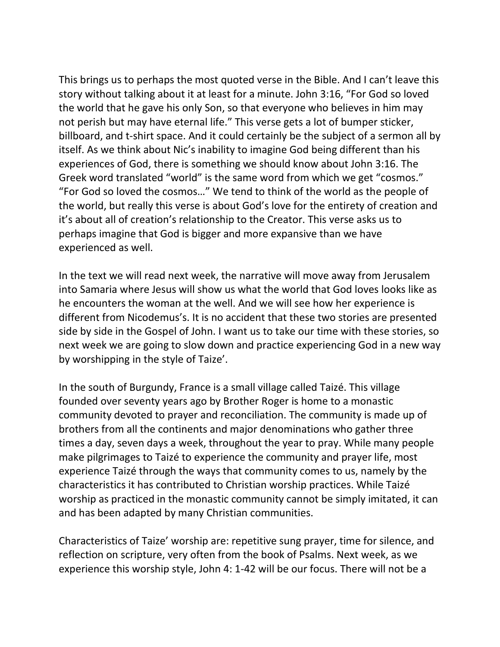This brings us to perhaps the most quoted verse in the Bible. And I can't leave this story without talking about it at least for a minute. John 3:16, "For God so loved the world that he gave his only Son, so that everyone who believes in him may not perish but may have eternal life." This verse gets a lot of bumper sticker, billboard, and t-shirt space. And it could certainly be the subject of a sermon all by itself. As we think about Nic's inability to imagine God being different than his experiences of God, there is something we should know about John 3:16. The Greek word translated "world" is the same word from which we get "cosmos." "For God so loved the cosmos…" We tend to think of the world as the people of the world, but really this verse is about God's love for the entirety of creation and it's about all of creation's relationship to the Creator. This verse asks us to perhaps imagine that God is bigger and more expansive than we have experienced as well.

In the text we will read next week, the narrative will move away from Jerusalem into Samaria where Jesus will show us what the world that God loves looks like as he encounters the woman at the well. And we will see how her experience is different from Nicodemus's. It is no accident that these two stories are presented side by side in the Gospel of John. I want us to take our time with these stories, so next week we are going to slow down and practice experiencing God in a new way by worshipping in the style of Taize'.

In the south of Burgundy, France is a small village called Taizé. This village founded over seventy years ago by Brother Roger is home to a monastic community devoted to prayer and reconciliation. The community is made up of brothers from all the continents and major denominations who gather three times a day, seven days a week, throughout the year to pray. While many people make pilgrimages to Taizé to experience the community and prayer life, most experience Taizé through the ways that community comes to us, namely by the characteristics it has contributed to Christian worship practices. While Taizé worship as practiced in the monastic community cannot be simply imitated, it can and has been adapted by many Christian communities.

Characteristics of Taize' worship are: repetitive sung prayer, time for silence, and reflection on scripture, very often from the book of Psalms. Next week, as we experience this worship style, John 4: 1-42 will be our focus. There will not be a